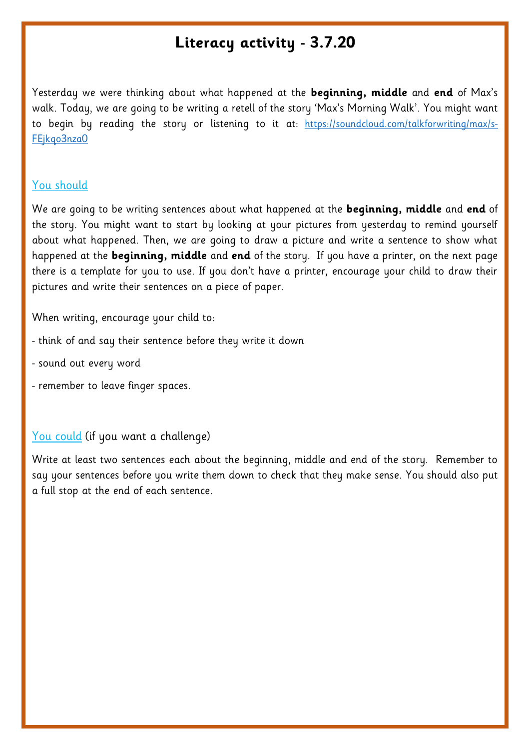## **Literacy activity - 3.7.20**

Yesterday we were thinking about what happened at the **beginning, middle** and **end** of Max's walk. Today, we are going to be writing a retell of the story 'Max's Morning Walk'. You might want to begin by reading the story or listening to it at: [https://soundcloud.com/talkforwriting/max/s-](https://soundcloud.com/talkforwriting/max/s-FEjkqo3nza0)[FEjkqo3nza0](https://soundcloud.com/talkforwriting/max/s-FEjkqo3nza0)

## You should

We are going to be writing sentences about what happened at the **beginning, middle** and **end** of the story. You might want to start by looking at your pictures from yesterday to remind yourself about what happened. Then, we are going to draw a picture and write a sentence to show what happened at the **beginning, middle** and **end** of the story. If you have a printer, on the next page there is a template for you to use. If you don't have a printer, encourage your child to draw their pictures and write their sentences on a piece of paper.

When writing, encourage your child to:

- think of and say their sentence before they write it down
- sound out every word
- remember to leave finger spaces.

## You could (if you want a challenge)

Write at least two sentences each about the beginning, middle and end of the story. Remember to say your sentences before you write them down to check that they make sense. You should also put a full stop at the end of each sentence.